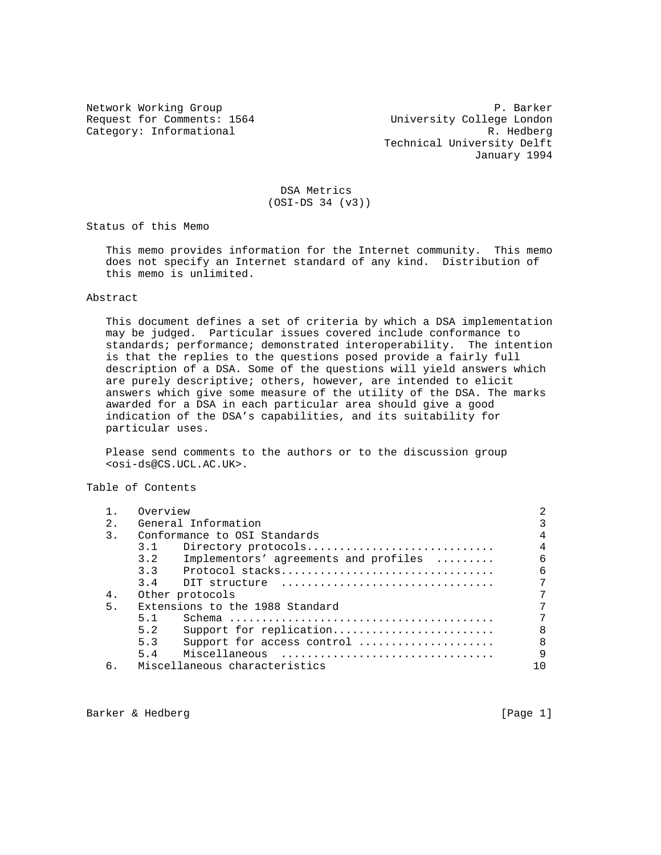Network Working Group **P. Barker** Request for Comments: 1564 University College London Category: Informational R. Hedberg Technical University Delft January 1994

## DSA Metrics (OSI-DS 34 (v3))

Status of this Memo

 This memo provides information for the Internet community. This memo does not specify an Internet standard of any kind. Distribution of this memo is unlimited.

## Abstract

 This document defines a set of criteria by which a DSA implementation may be judged. Particular issues covered include conformance to standards; performance; demonstrated interoperability. The intention is that the replies to the questions posed provide a fairly full description of a DSA. Some of the questions will yield answers which are purely descriptive; others, however, are intended to elicit answers which give some measure of the utility of the DSA. The marks awarded for a DSA in each particular area should give a good indication of the DSA's capabilities, and its suitability for particular uses.

 Please send comments to the authors or to the discussion group <osi-ds@CS.UCL.AC.UK>.

Table of Contents

|                | Overview                                     |              |
|----------------|----------------------------------------------|--------------|
| 2.             | General Information                          |              |
| $\mathcal{E}$  | Conformance to OSI Standards                 | 4            |
|                | 3.1<br>Directory protocols                   | 4            |
|                | 3.2<br>Implementors' agreements and profiles | 6            |
|                |                                              | 6            |
|                | $3.4$ DIT structure                          | 7            |
| 4.             | Other protocols                              |              |
| 5 <sub>1</sub> | Extensions to the 1988 Standard              |              |
|                | 5.1                                          |              |
|                | Support for replication<br>5.2               | 8            |
|                | Support for access control<br>5.3            | $\mathsf{R}$ |
|                | 5.4<br>Miscellaneous                         | q            |
| б.             | Miscellaneous characteristics                |              |

Barker & Hedberg [Page 1]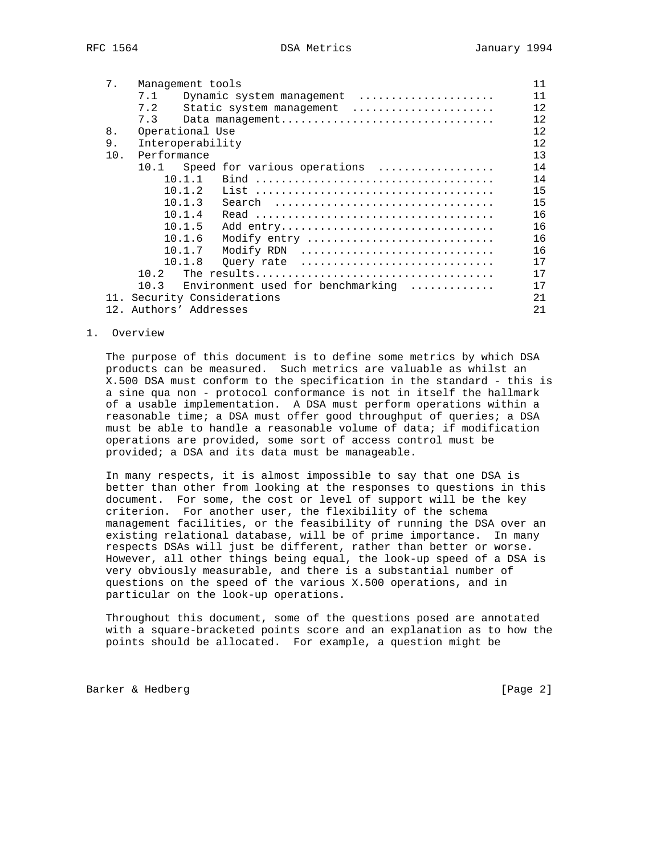| 7.  | Management tools                                                 | 11 |
|-----|------------------------------------------------------------------|----|
|     | Dynamic system management<br>7.1                                 | 11 |
|     | 7.2<br>Static system management                                  | 12 |
|     | 7.3<br>Data management                                           | 12 |
| 8.  | Operational Use                                                  | 12 |
| 9.  | Interoperability                                                 | 12 |
| 10. | Performance                                                      | 13 |
|     | 10.1<br>Speed for various operations                             | 14 |
|     | 10.1.1                                                           | 14 |
|     | 10.1.2                                                           | 15 |
|     | 10.1.3<br>Search                                                 | 15 |
|     | 10.1.4                                                           | 16 |
|     | 10.1.5<br>Add entry                                              | 16 |
|     | 10.1.6<br>Modify entry                                           | 16 |
|     | 10.1.7<br>Modify RDN                                             | 16 |
|     | 10.1.8<br>Query rate                                             | 17 |
|     | 10.2                                                             | 17 |
|     | 10.3<br>Environment used for benchmarking $\ldots \ldots \ldots$ | 17 |
|     | 11. Security Considerations                                      | 21 |
|     | 12. Authors' Addresses                                           | 21 |

1. Overview

 The purpose of this document is to define some metrics by which DSA products can be measured. Such metrics are valuable as whilst an X.500 DSA must conform to the specification in the standard - this is a sine qua non - protocol conformance is not in itself the hallmark of a usable implementation. A DSA must perform operations within a reasonable time; a DSA must offer good throughput of queries; a DSA must be able to handle a reasonable volume of data; if modification operations are provided, some sort of access control must be provided; a DSA and its data must be manageable.

 In many respects, it is almost impossible to say that one DSA is better than other from looking at the responses to questions in this document. For some, the cost or level of support will be the key criterion. For another user, the flexibility of the schema management facilities, or the feasibility of running the DSA over an existing relational database, will be of prime importance. In many respects DSAs will just be different, rather than better or worse. However, all other things being equal, the look-up speed of a DSA is very obviously measurable, and there is a substantial number of questions on the speed of the various X.500 operations, and in particular on the look-up operations.

 Throughout this document, some of the questions posed are annotated with a square-bracketed points score and an explanation as to how the points should be allocated. For example, a question might be

Barker & Hedberg [Page 2]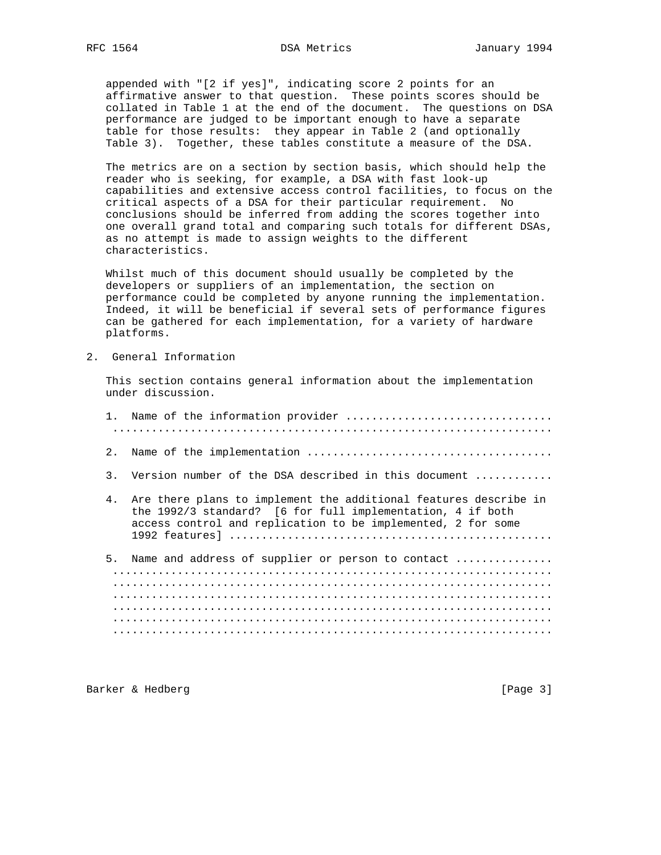appended with "[2 if yes]", indicating score 2 points for an affirmative answer to that question. These points scores should be collated in Table 1 at the end of the document. The questions on DSA performance are judged to be important enough to have a separate table for those results: they appear in Table 2 (and optionally Table 3). Together, these tables constitute a measure of the DSA.

 The metrics are on a section by section basis, which should help the reader who is seeking, for example, a DSA with fast look-up capabilities and extensive access control facilities, to focus on the critical aspects of a DSA for their particular requirement. No conclusions should be inferred from adding the scores together into one overall grand total and comparing such totals for different DSAs, as no attempt is made to assign weights to the different characteristics.

 Whilst much of this document should usually be completed by the developers or suppliers of an implementation, the section on performance could be completed by anyone running the implementation. Indeed, it will be beneficial if several sets of performance figures can be gathered for each implementation, for a variety of hardware platforms.

2. General Information

 This section contains general information about the implementation under discussion.

| 2.             |                                                                                                                                                                                                |
|----------------|------------------------------------------------------------------------------------------------------------------------------------------------------------------------------------------------|
| 3.             | Version number of the DSA described in this document                                                                                                                                           |
| 4 <sub>1</sub> | Are there plans to implement the additional features describe in<br>the 1992/3 standard? [6 for full implementation, 4 if both<br>access control and replication to be implemented, 2 for some |
| 5.             | Name and address of supplier or person to contact                                                                                                                                              |
|                |                                                                                                                                                                                                |
|                |                                                                                                                                                                                                |
|                |                                                                                                                                                                                                |

Barker & Hedberg [Page 3]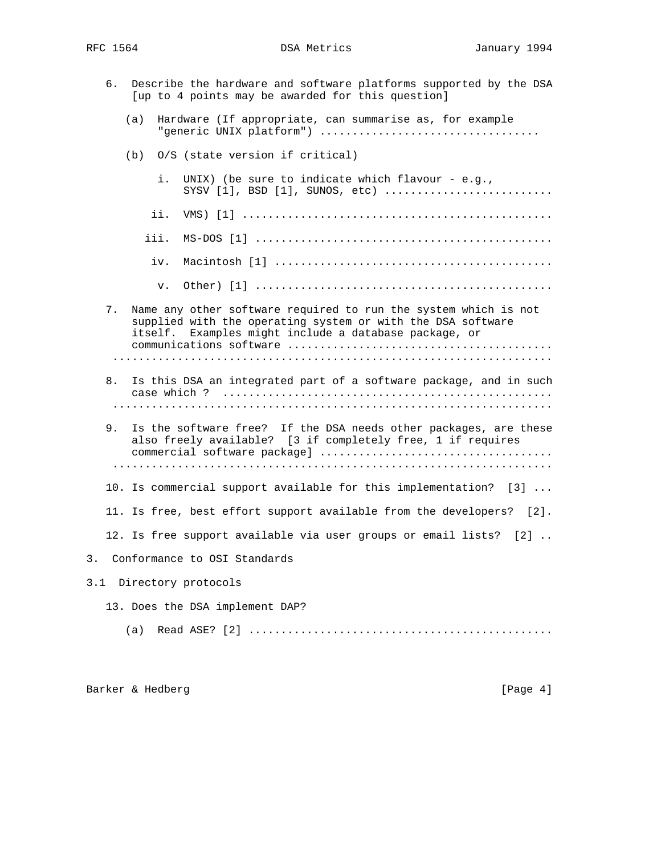|     | б. |     |      | Describe the hardware and software platforms supported by the DSA<br>[up to 4 points may be awarded for this question]                                                                  |
|-----|----|-----|------|-----------------------------------------------------------------------------------------------------------------------------------------------------------------------------------------|
|     |    | (a) |      | Hardware (If appropriate, can summarise as, for example                                                                                                                                 |
|     |    | (b) |      | 0/S (state version if critical)                                                                                                                                                         |
|     |    |     | i.   | UNIX) (be sure to indicate which flavour - e.g.,<br>$SYSV [1], BSD [1], SUMOS, etc)      $                                                                                              |
|     |    |     | ii.  |                                                                                                                                                                                         |
|     |    |     | iii. |                                                                                                                                                                                         |
|     |    |     | iv.  |                                                                                                                                                                                         |
|     |    |     | v.   |                                                                                                                                                                                         |
|     | 7. |     |      | Name any other software required to run the system which is not<br>supplied with the operating system or with the DSA software<br>itself. Examples might include a database package, or |
|     |    |     |      |                                                                                                                                                                                         |
|     | 8. |     |      | Is this DSA an integrated part of a software package, and in such                                                                                                                       |
|     |    |     |      |                                                                                                                                                                                         |
|     | 9. |     |      | Is the software free? If the DSA needs other packages, are these<br>also freely available? [3 if completely free, 1 if requires                                                         |
|     |    |     |      |                                                                                                                                                                                         |
|     |    |     |      | 10. Is commercial support available for this implementation? [3]                                                                                                                        |
|     |    |     |      | 11. Is free, best effort support available from the developers? [2].                                                                                                                    |
|     |    |     |      | 12. Is free support available via user groups or email lists? [2]                                                                                                                       |
|     |    |     |      | Conformance to OSI Standards                                                                                                                                                            |
| 3.1 |    |     |      | Directory protocols                                                                                                                                                                     |
|     |    |     |      | 13. Does the DSA implement DAP?                                                                                                                                                         |
|     |    | (a) |      |                                                                                                                                                                                         |
|     |    |     |      |                                                                                                                                                                                         |

Barker & Hedberg [Page 4]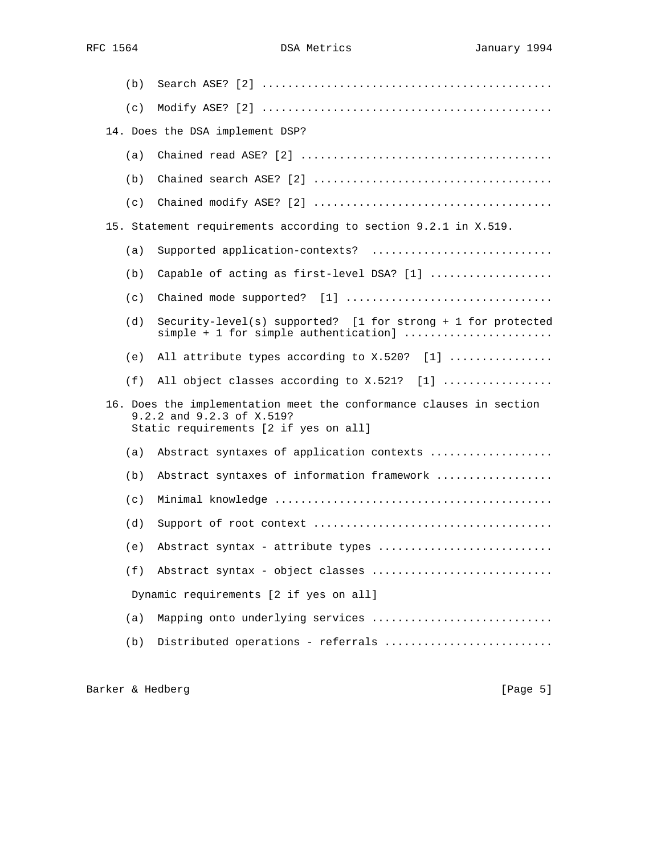| (b) |                                                                                                                                           |
|-----|-------------------------------------------------------------------------------------------------------------------------------------------|
| (c) |                                                                                                                                           |
|     | 14. Does the DSA implement DSP?                                                                                                           |
| (a) |                                                                                                                                           |
| (b) |                                                                                                                                           |
| (c) |                                                                                                                                           |
|     | 15. Statement requirements according to section 9.2.1 in X.519.                                                                           |
| (a) | Supported application-contexts?                                                                                                           |
| (b) | Capable of acting as first-level DSA? [1]                                                                                                 |
| (c) |                                                                                                                                           |
| (d) | Security-level(s) supported? [1 for strong + 1 for protected<br>simple + 1 for simple authentication]                                     |
| (e) | All attribute types according to X.520? [1]                                                                                               |
| (f) | All object classes according to X.521? [1]                                                                                                |
|     | 16. Does the implementation meet the conformance clauses in section<br>9.2.2 and 9.2.3 of X.519?<br>Static requirements [2 if yes on all] |
| (a) | Abstract syntaxes of application contexts                                                                                                 |
| (b) | Abstract syntaxes of information framework                                                                                                |
| (c) |                                                                                                                                           |
| (d) |                                                                                                                                           |
| (e) | Abstract syntax - attribute types                                                                                                         |
| (f) | Abstract syntax - object classes                                                                                                          |
|     | Dynamic requirements [2 if yes on all]                                                                                                    |
| (a) | Mapping onto underlying services                                                                                                          |
| (b) | Distributed operations - referrals                                                                                                        |

Barker & Hedberg [Page 5]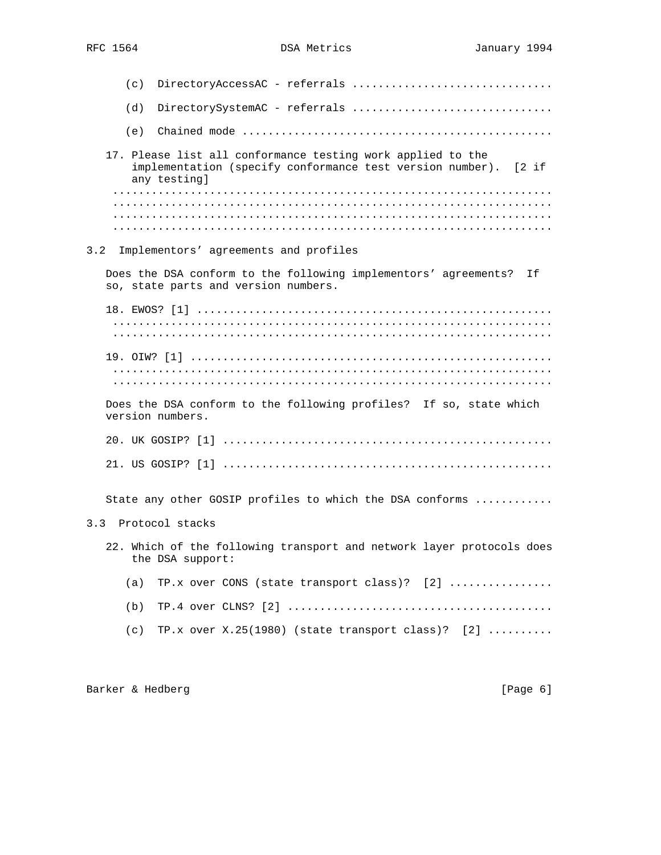| DirectoryAccessAC - referrals<br>(c)                                                                                                              |
|---------------------------------------------------------------------------------------------------------------------------------------------------|
| (d)<br>DirectorySystemAC - referrals                                                                                                              |
| (e)                                                                                                                                               |
| 17. Please list all conformance testing work applied to the<br>implementation (specify conformance test version number).<br>[2 if<br>any testing] |
|                                                                                                                                                   |
|                                                                                                                                                   |
| 3.2<br>Implementors' agreements and profiles                                                                                                      |
| Does the DSA conform to the following implementors' agreements? If<br>so, state parts and version numbers.                                        |
|                                                                                                                                                   |
|                                                                                                                                                   |
|                                                                                                                                                   |
|                                                                                                                                                   |
| Does the DSA conform to the following profiles? If so, state which<br>version numbers.                                                            |
|                                                                                                                                                   |
|                                                                                                                                                   |
| State any other GOSIP profiles to which the DSA conforms                                                                                          |
| 3.3 Protocol stacks                                                                                                                               |
| 22. Which of the following transport and network layer protocols does<br>the DSA support:                                                         |
| TP.x over CONS (state transport class)? [2]<br>(a)                                                                                                |
| (b)                                                                                                                                               |
| TP.x over $X.25(1980)$ (state transport class)? [2]<br>(c)                                                                                        |
|                                                                                                                                                   |

Barker & Hedberg [Page 6]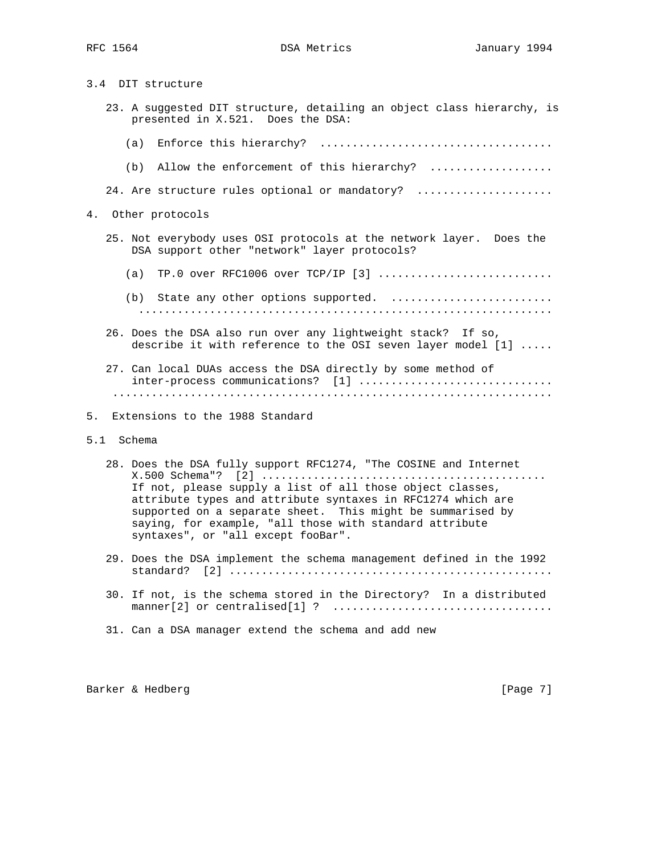3.4 DIT structure

- 23. A suggested DIT structure, detailing an object class hierarchy, is presented in X.521. Does the DSA:
	- (a) Enforce this hierarchy? ....................................
	- (b) Allow the enforcement of this hierarchy? ..................

24. Are structure rules optional or mandatory? .....................

- 4. Other protocols
	- 25. Not everybody uses OSI protocols at the network layer. Does the DSA support other "network" layer protocols?
		- (a) TP.0 over RFC1006 over TCP/IP [3] ...........................
		- (b) State any other options supported. ......................... ................................................................
	- 26. Does the DSA also run over any lightweight stack? If so, describe it with reference to the OSI seven layer model [1] .....
	- 27. Can local DUAs access the DSA directly by some method of inter-process communications? [1] ................................ ....................................................................
- 5. Extensions to the 1988 Standard
- 5.1 Schema
	- 28. Does the DSA fully support RFC1274, "The COSINE and Internet X.500 Schema"? [2] ............................................ If not, please supply a list of all those object classes, attribute types and attribute syntaxes in RFC1274 which are supported on a separate sheet. This might be summarised by saying, for example, "all those with standard attribute syntaxes", or "all except fooBar".
	- 29. Does the DSA implement the schema management defined in the 1992 standard? [2] ..................................................
	- 30. If not, is the schema stored in the Directory? In a distributed manner[2] or centralised[1] ? ..................................
	- 31. Can a DSA manager extend the schema and add new

Barker & Hedberg [Page 7]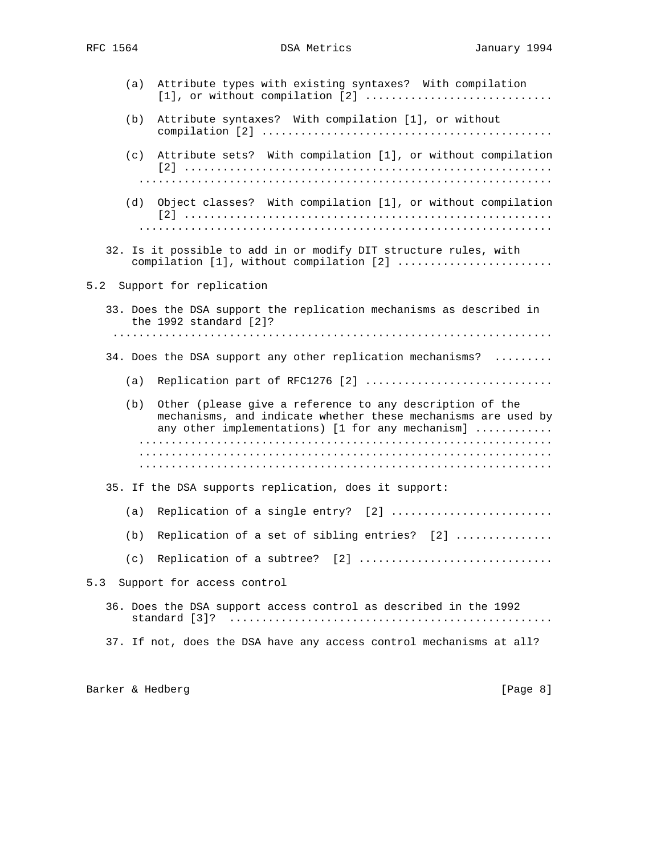| (a) | Attribute types with existing syntaxes? With compilation                                                                                                                      |
|-----|-------------------------------------------------------------------------------------------------------------------------------------------------------------------------------|
| (b) | Attribute syntaxes? With compilation [1], or without                                                                                                                          |
|     | (c) Attribute sets? With compilation [1], or without compilation                                                                                                              |
| (d) | Object classes? With compilation [1], or without compilation                                                                                                                  |
|     | 32. Is it possible to add in or modify DIT structure rules, with<br>compilation [1], without compilation [2]                                                                  |
|     | 5.2 Support for replication                                                                                                                                                   |
|     | 33. Does the DSA support the replication mechanisms as described in<br>the 1992 standard [2]?                                                                                 |
|     | 34. Does the DSA support any other replication mechanisms?                                                                                                                    |
| (a) | Replication part of RFC1276 [2]                                                                                                                                               |
| (b) | Other (please give a reference to any description of the<br>mechanisms, and indicate whether these mechanisms are used by<br>any other implementations) [1 for any mechanism] |
|     |                                                                                                                                                                               |
|     |                                                                                                                                                                               |
|     | 35. If the DSA supports replication, does it support:                                                                                                                         |
| (a) | Replication of a single entry? [2]                                                                                                                                            |
| (b) | Replication of a set of sibling entries? [2]                                                                                                                                  |
|     | (c) Replication of a subtree? $[2]$                                                                                                                                           |
| 5.3 | Support for access control                                                                                                                                                    |
|     | 36. Does the DSA support access control as described in the 1992                                                                                                              |
|     | 37. If not, does the DSA have any access control mechanisms at all?                                                                                                           |
|     |                                                                                                                                                                               |

Barker & Hedberg [Page 8]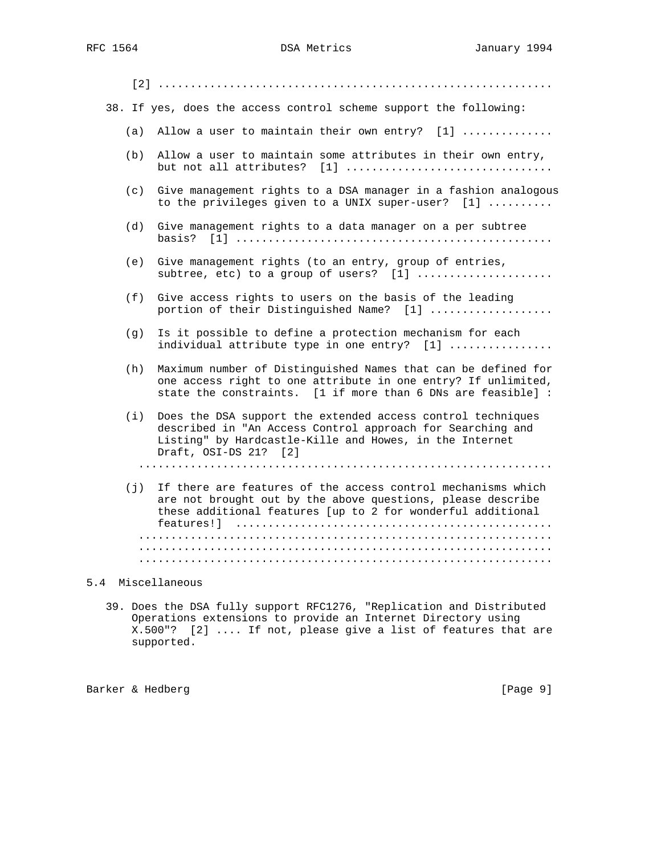|     | 38. If yes, does the access control scheme support the following:                                                                                                                                             |
|-----|---------------------------------------------------------------------------------------------------------------------------------------------------------------------------------------------------------------|
| (a) | Allow a user to maintain their own entry? [1]                                                                                                                                                                 |
| (b) | Allow a user to maintain some attributes in their own entry,<br>but not all attributes? [1]                                                                                                                   |
| (c) | Give management rights to a DSA manager in a fashion analogous<br>to the privileges given to a UNIX super-user? [1]                                                                                           |
| (d) | Give management rights to a data manager on a per subtree<br>basis?                                                                                                                                           |
| (e) | Give management rights (to an entry, group of entries,<br>subtree, etc) to a group of users? $[1]$                                                                                                            |
| (f) | Give access rights to users on the basis of the leading<br>portion of their Distinguished Name? [1]                                                                                                           |
| (g) | Is it possible to define a protection mechanism for each<br>individual attribute type in one entry? [1]                                                                                                       |
| (h) | Maximum number of Distinguished Names that can be defined for<br>one access right to one attribute in one entry? If unlimited,<br>state the constraints. [1 if more than 6 DNs are feasible] :                |
| (i) | Does the DSA support the extended access control techniques<br>described in "An Access Control approach for Searching and<br>Listing" by Hardcastle-Kille and Howes, in the Internet<br>Draft, OSI-DS 21? [2] |
|     |                                                                                                                                                                                                               |
| (i) | If there are features of the access control mechanisms which<br>are not brought out by the above questions, please describe<br>these additional features [up to 2 for wonderful additional                    |
|     |                                                                                                                                                                                                               |
|     |                                                                                                                                                                                                               |

## 5.4 Miscellaneous

 39. Does the DSA fully support RFC1276, "Replication and Distributed Operations extensions to provide an Internet Directory using X.500"? [2] .... If not, please give a list of features that are supported.

Barker & Hedberg [Page 9]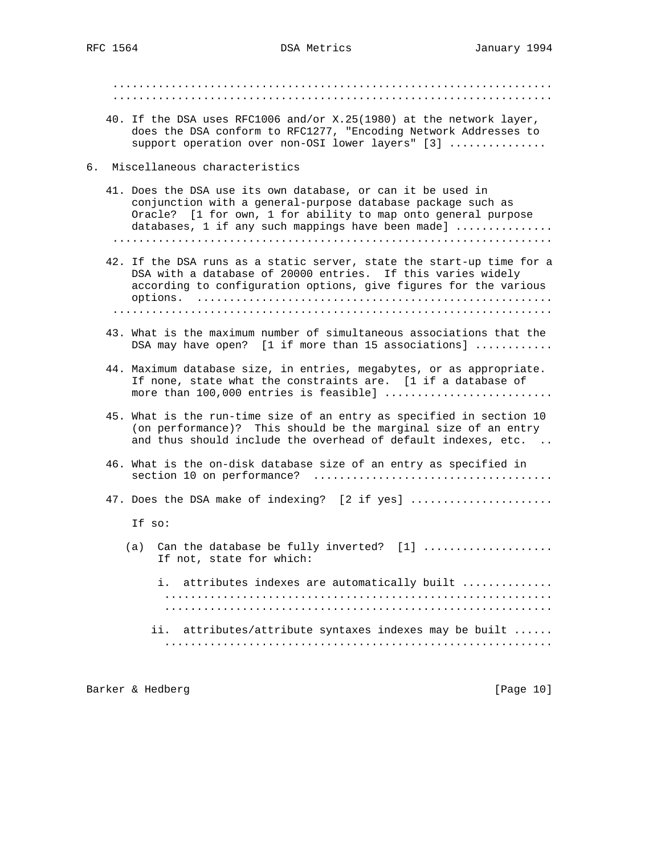.................................................................... .................................................................... 40. If the DSA uses RFC1006 and/or X.25(1980) at the network layer, does the DSA conform to RFC1277, "Encoding Network Addresses to support operation over non-OSI lower layers" [3] ............... 6. Miscellaneous characteristics 41. Does the DSA use its own database, or can it be used in conjunction with a general-purpose database package such as Oracle? [1 for own, 1 for ability to map onto general purpose databases, 1 if any such mappings have been made] ............... .................................................................... 42. If the DSA runs as a static server, state the start-up time for a DSA with a database of 20000 entries. If this varies widely according to configuration options, give figures for the various options. ....................................................... .................................................................... 43. What is the maximum number of simultaneous associations that the DSA may have open? [1 if more than 15 associations] ............ 44. Maximum database size, in entries, megabytes, or as appropriate. If none, state what the constraints are. [1 if a database of more than 100,000 entries is feasible] .......................... 45. What is the run-time size of an entry as specified in section 10 (on performance)? This should be the marginal size of an entry and thus should include the overhead of default indexes, etc. .. 46. What is the on-disk database size of an entry as specified in section 10 on performance? ..................................... 47. Does the DSA make of indexing? [2 if yes] ..................... If so: (a) Can the database be fully inverted?  $[1]$  ................... If not, state for which: i. attributes indexes are automatically built .............. ............................................................ ............................................................ ii. attributes/attribute syntaxes indexes may be built ...... ............................................................

Barker & Hedberg [Page 10]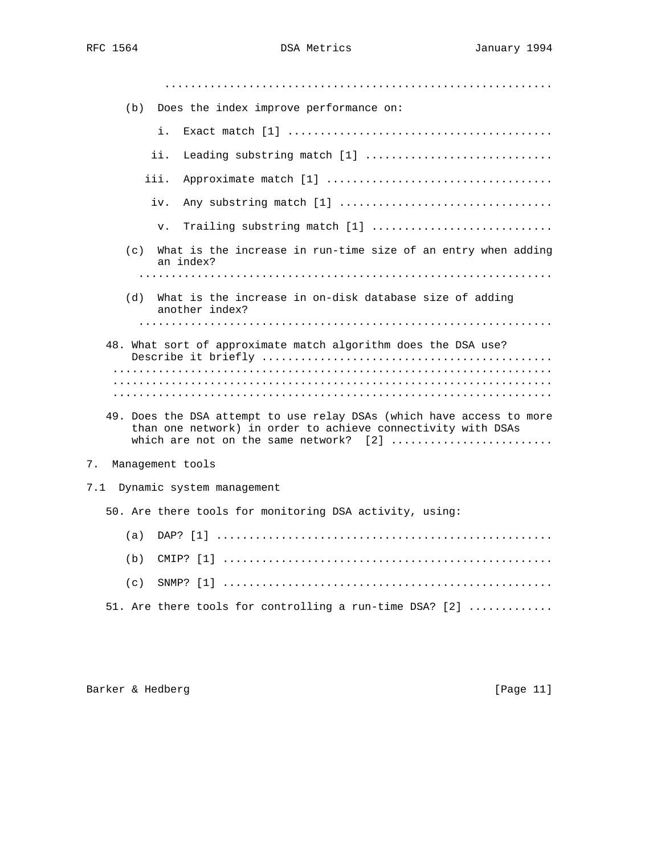| (b) Does the index improve performance on:                                                                                                                                      |
|---------------------------------------------------------------------------------------------------------------------------------------------------------------------------------|
| i.                                                                                                                                                                              |
| ii.<br>Leading substring match [1]                                                                                                                                              |
| iii.                                                                                                                                                                            |
| Any substring match [1]<br>iv.                                                                                                                                                  |
| Trailing substring match [1]<br>v.                                                                                                                                              |
| What is the increase in run-time size of an entry when adding<br>(c)<br>an index?                                                                                               |
|                                                                                                                                                                                 |
| What is the increase in on-disk database size of adding<br>(d)<br>another index?                                                                                                |
|                                                                                                                                                                                 |
| 48. What sort of approximate match algorithm does the DSA use?                                                                                                                  |
|                                                                                                                                                                                 |
|                                                                                                                                                                                 |
| 49. Does the DSA attempt to use relay DSAs (which have access to more<br>than one network) in order to achieve connectivity with DSAs<br>which are not on the same network? [2] |
| 7.<br>Management tools                                                                                                                                                          |
| 7.1<br>Dynamic system management                                                                                                                                                |
| 50. Are there tools for monitoring DSA activity, using:                                                                                                                         |
| (a)                                                                                                                                                                             |
| (b)                                                                                                                                                                             |
| (c)                                                                                                                                                                             |

51. Are there tools for controlling a run-time DSA? [2] .............

Barker & Hedberg [Page 11]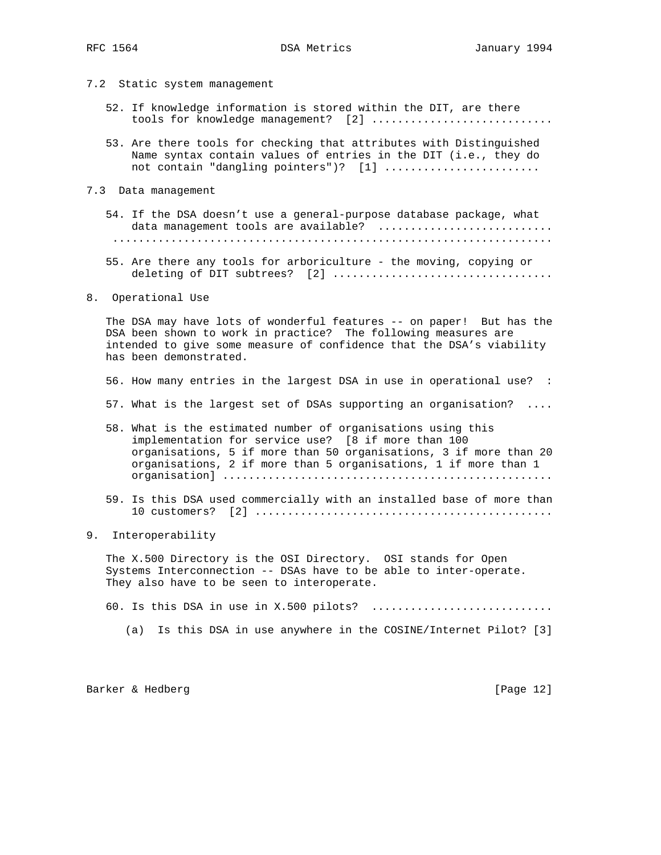- 7.2 Static system management
	- 52. If knowledge information is stored within the DIT, are there tools for knowledge management? [2] .............................
	- 53. Are there tools for checking that attributes with Distinguished Name syntax contain values of entries in the DIT (i.e., they do not contain "dangling pointers")? [1] ........................
- 7.3 Data management
	- 54. If the DSA doesn't use a general-purpose database package, what data management tools are available? ............................ ....................................................................
	- 55. Are there any tools for arboriculture the moving, copying or deleting of DIT subtrees? [2] ..................................
- 8. Operational Use

 The DSA may have lots of wonderful features -- on paper! But has the DSA been shown to work in practice? The following measures are intended to give some measure of confidence that the DSA's viability has been demonstrated.

- 56. How many entries in the largest DSA in use in operational use? :
- 57. What is the largest set of DSAs supporting an organisation? ....
- 58. What is the estimated number of organisations using this implementation for service use? [8 if more than 100 organisations, 5 if more than 50 organisations, 3 if more than 20 organisations, 2 if more than 5 organisations, 1 if more than 1 organisation] ...................................................
- 59. Is this DSA used commercially with an installed base of more than  $10 \text{ customers?} \quad [2] \quad \dots \dots \dots \dots \dots \dots \dots \dots \dots \dots \dots \dots \dots \dots \dots \dots$
- 9. Interoperability

 The X.500 Directory is the OSI Directory. OSI stands for Open Systems Interconnection -- DSAs have to be able to inter-operate. They also have to be seen to interoperate.

60. Is this DSA in use in X.500 pilots? ..............................

(a) Is this DSA in use anywhere in the COSINE/Internet Pilot? [3]

Barker & Hedberg [Page 12]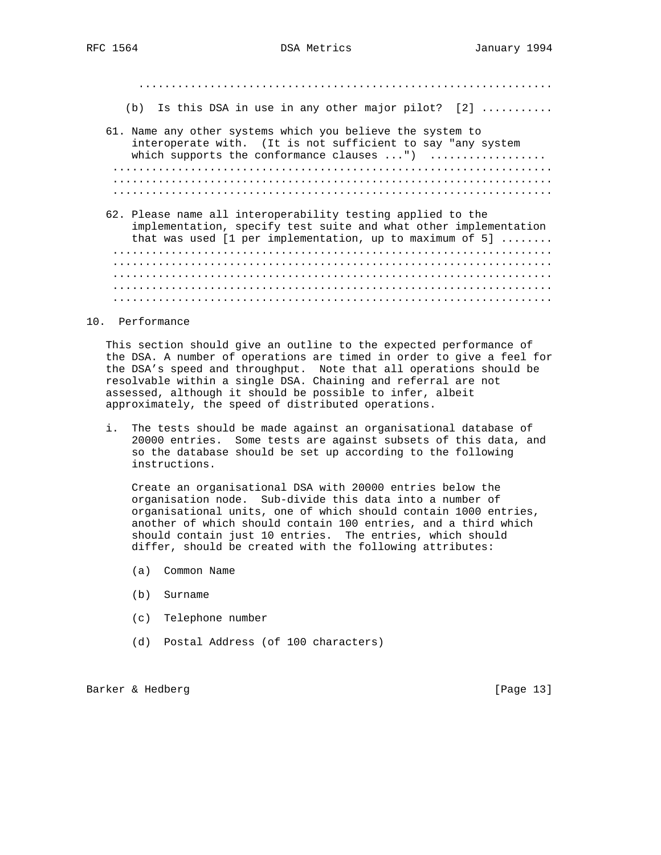................................................................ (b) Is this DSA in use in any other major pilot? [2] ........... 61. Name any other systems which you believe the system to interoperate with. (It is not sufficient to say "any system which supports the conformance clauses ...") .................. .................................................................... .................................................................... .................................................................... 62. Please name all interoperability testing applied to the implementation, specify test suite and what other implementation that was used [1 per implementation, up to maximum of 5] ........ .................................................................... ....................................................................

....................................................................

 .................................................................... ....................................................................

10. Performance

 This section should give an outline to the expected performance of the DSA. A number of operations are timed in order to give a feel for the DSA's speed and throughput. Note that all operations should be resolvable within a single DSA. Chaining and referral are not assessed, although it should be possible to infer, albeit approximately, the speed of distributed operations.

 i. The tests should be made against an organisational database of 20000 entries. Some tests are against subsets of this data, and so the database should be set up according to the following instructions.

 Create an organisational DSA with 20000 entries below the organisation node. Sub-divide this data into a number of organisational units, one of which should contain 1000 entries, another of which should contain 100 entries, and a third which should contain just 10 entries. The entries, which should differ, should be created with the following attributes:

- (a) Common Name
- (b) Surname
- (c) Telephone number
- (d) Postal Address (of 100 characters)

Barker & Hedberg [Page 13]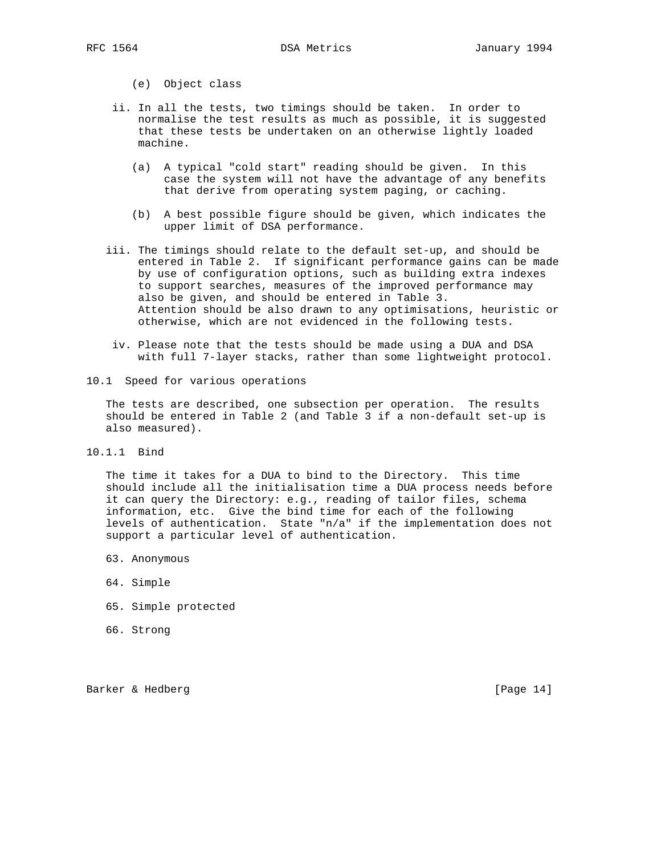(e) Object class

- ii. In all the tests, two timings should be taken. In order to normalise the test results as much as possible, it is suggested that these tests be undertaken on an otherwise lightly loaded machine.
	- (a) A typical "cold start" reading should be given. In this case the system will not have the advantage of any benefits that derive from operating system paging, or caching.
	- (b) A best possible figure should be given, which indicates the upper limit of DSA performance.
	- iii. The timings should relate to the default set-up, and should be entered in Table 2. If significant performance gains can be made by use of configuration options, such as building extra indexes to support searches, measures of the improved performance may also be given, and should be entered in Table 3. Attention should be also drawn to any optimisations, heuristic or otherwise, which are not evidenced in the following tests.
		- iv. Please note that the tests should be made using a DUA and DSA with full 7-layer stacks, rather than some lightweight protocol.
- 10.1 Speed for various operations

 The tests are described, one subsection per operation. The results should be entered in Table 2 (and Table 3 if a non-default set-up is also measured).

10.1.1 Bind

 The time it takes for a DUA to bind to the Directory. This time should include all the initialisation time a DUA process needs before it can query the Directory: e.g., reading of tailor files, schema information, etc. Give the bind time for each of the following levels of authentication. State "n/a" if the implementation does not support a particular level of authentication.

- 63. Anonymous
- 64. Simple
- 65. Simple protected
- 66. Strong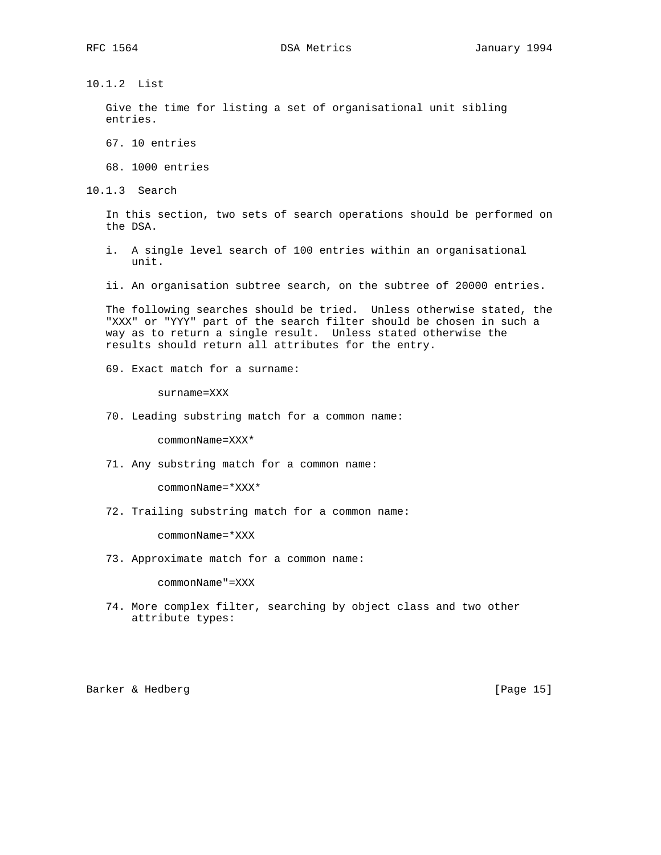10.1.2 List

 Give the time for listing a set of organisational unit sibling entries.

67. 10 entries

68. 1000 entries

10.1.3 Search

 In this section, two sets of search operations should be performed on the DSA.

 i. A single level search of 100 entries within an organisational unit.

ii. An organisation subtree search, on the subtree of 20000 entries.

 The following searches should be tried. Unless otherwise stated, the "XXX" or "YYY" part of the search filter should be chosen in such a way as to return a single result. Unless stated otherwise the results should return all attributes for the entry.

69. Exact match for a surname:

surname=XXX

70. Leading substring match for a common name:

commonName=XXX\*

71. Any substring match for a common name:

commonName=\*XXX\*

72. Trailing substring match for a common name:

commonName=\*XXX

73. Approximate match for a common name:

commonName"=XXX

 74. More complex filter, searching by object class and two other attribute types:

Barker & Hedberg [Page 15]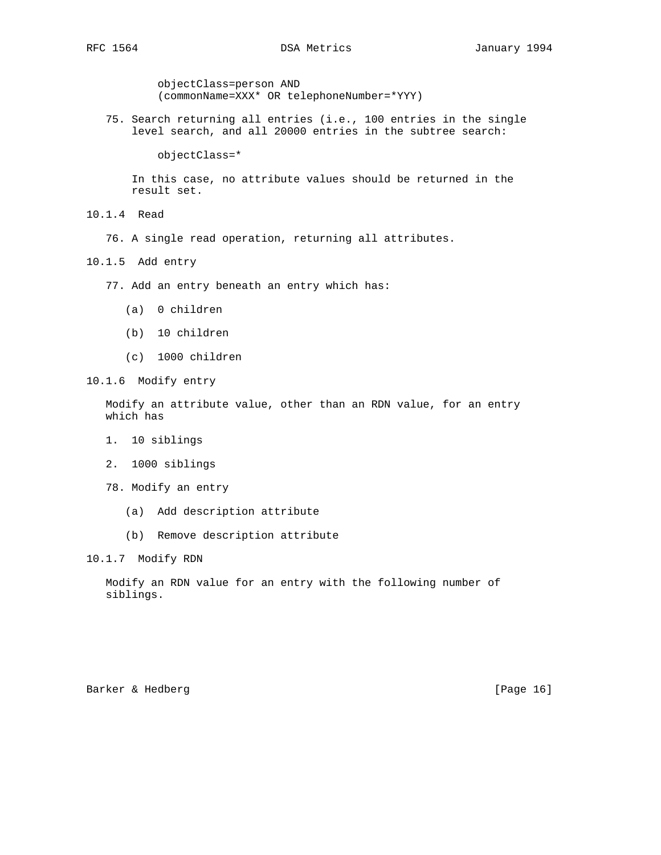objectClass=person AND (commonName=XXX\* OR telephoneNumber=\*YYY)

 75. Search returning all entries (i.e., 100 entries in the single level search, and all 20000 entries in the subtree search:

objectClass=\*

 In this case, no attribute values should be returned in the result set.

- 10.1.4 Read
	- 76. A single read operation, returning all attributes.
- 10.1.5 Add entry
	- 77. Add an entry beneath an entry which has:
		- (a) 0 children
		- (b) 10 children
		- (c) 1000 children
- 10.1.6 Modify entry

 Modify an attribute value, other than an RDN value, for an entry which has

- 1. 10 siblings
- 2. 1000 siblings
- 78. Modify an entry
	- (a) Add description attribute
	- (b) Remove description attribute

10.1.7 Modify RDN

 Modify an RDN value for an entry with the following number of siblings.

Barker & Hedberg [Page 16]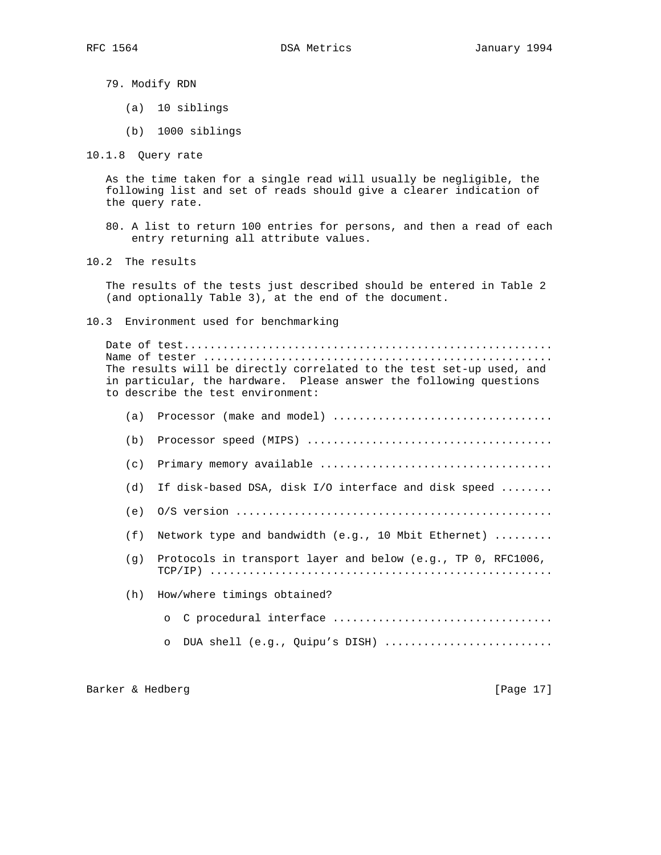79. Modify RDN

- (a) 10 siblings
- (b) 1000 siblings

10.1.8 Query rate

 As the time taken for a single read will usually be negligible, the following list and set of reads should give a clearer indication of the query rate.

- 80. A list to return 100 entries for persons, and then a read of each entry returning all attribute values.
- 10.2 The results

 The results of the tests just described should be entered in Table 2 (and optionally Table 3), at the end of the document.

10.3 Environment used for benchmarking

 Date of test......................................................... Name of tester ...................................................... The results will be directly correlated to the test set-up used, and in particular, the hardware. Please answer the following questions to describe the test environment: (a) Processor (make and model)  $\dots\dots\dots\dots\dots\dots\dots\dots\dots\dots\dots\dots\dots\dots$  (b) Processor speed (MIPS) ...................................... (c) Primary memory available .................................... (d) If disk-based DSA, disk I/O interface and disk speed ........ (e) O/S version ................................................. (f) Network type and bandwidth (e.g., 10 Mbit Ethernet) ......... (g) Protocols in transport layer and below (e.g., TP 0, RFC1006, TCP/IP) ..................................................... (h) How/where timings obtained? o C procedural interface .................................. o DUA shell (e.g., Quipu's DISH) ..........................

Barker & Hedberg [Page 17]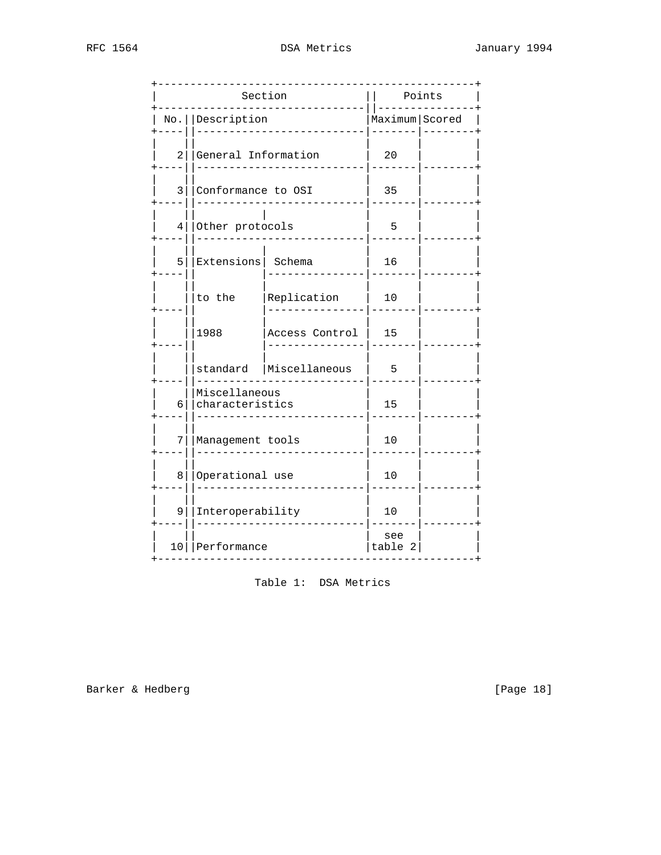|   |                                  | Section        | Points         |  |
|---|----------------------------------|----------------|----------------|--|
|   | No.   Description                |                | Maximum Scored |  |
| 2 | General Information              |                | 20             |  |
| 3 | Conformance to OSI               |                | 35             |  |
| 4 | Other protocols                  |                | 5              |  |
| 5 | Extensions Schema                |                | 16             |  |
|   | to the                           | Replication    | 10             |  |
|   | 1988                             | Access Control | 15             |  |
|   | standard                         | Miscellaneous  | 5              |  |
| 6 | Miscellaneous<br>characteristics |                | 15             |  |
| 7 | Management tools                 |                | 10             |  |
| 8 | Operational use                  |                | 10             |  |
| 9 | Interoperability                 |                | 10             |  |
|   | 10   Performance                 |                | see<br>table 2 |  |

Table 1: DSA Metrics

Barker & Hedberg

[Page 18]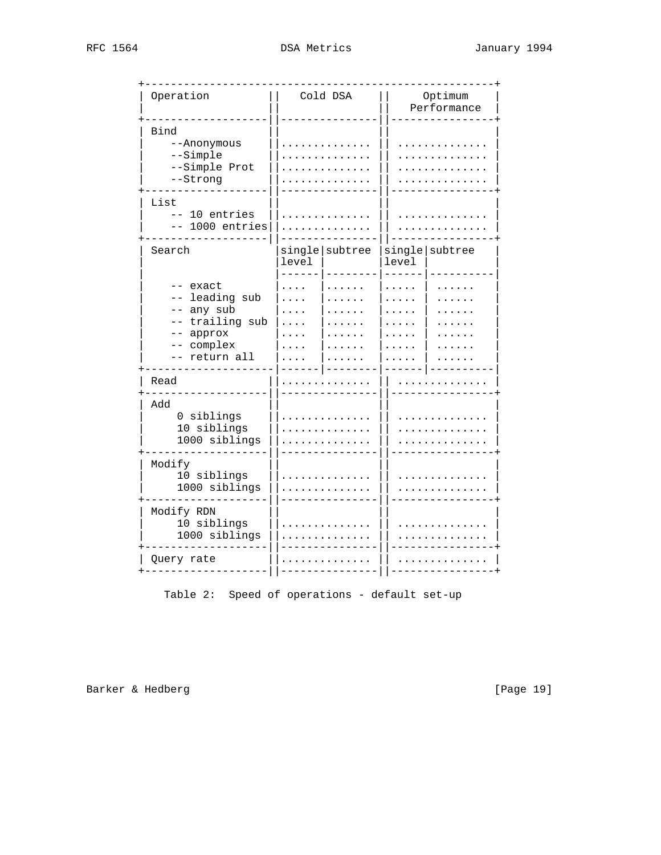| RFC 1564 |  |
|----------|--|

| Operation                                                                          | Cold DSA                | Optimum<br>Performance  |
|------------------------------------------------------------------------------------|-------------------------|-------------------------|
| Bind<br>--Anonymous<br>--Simple<br>--Simple Prot<br>--Strong                       |                         |                         |
| List<br>10 entries<br>$=$ $-$<br>1000 entries                                      |                         |                         |
| Search                                                                             | single subtree<br>level | single subtree<br>level |
| exact<br>leading sub<br>any sub<br>trailing sub<br>approx<br>complex<br>return all |                         |                         |
| Read                                                                               |                         |                         |
| Add<br>0 siblings<br>10 siblings<br>1000 siblings                                  |                         |                         |
| Modify<br>10 siblings<br>1000 siblings                                             |                         |                         |
| Modify RDN<br>10 siblings<br>1000 siblings                                         |                         |                         |
| Query rate                                                                         |                         |                         |

Table 2: Speed of operations - default set-up

Barker & Hedberg

[Page 19]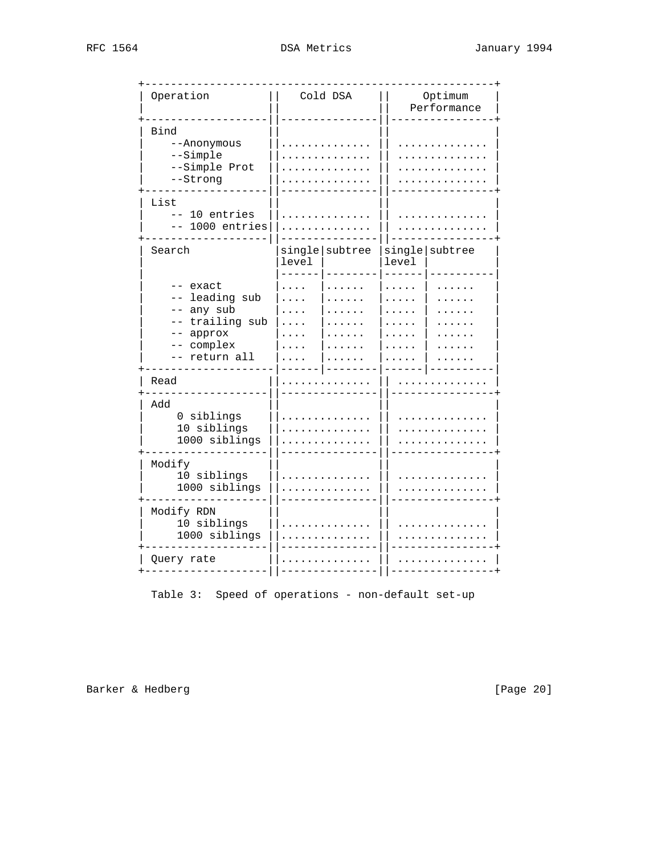| Operation                                                                                    | Cold DSA                | Optimum<br>Performance  |
|----------------------------------------------------------------------------------------------|-------------------------|-------------------------|
| Bind<br>--Anonymous<br>--Simple<br>--Simple Prot<br>--Strong                                 |                         |                         |
| List<br>10 entries<br>$=$ $-$<br>1000 entries                                                |                         |                         |
| Search<br>exact<br>leading sub<br>any sub<br>trailing sub<br>approx<br>complex<br>return all | single subtree<br>level | single subtree<br>level |
| Read                                                                                         |                         |                         |
| Add<br>0 siblings<br>10 siblings<br>1000 siblings                                            |                         |                         |
| Modify<br>10 siblings<br>1000 siblings                                                       |                         |                         |
| Modify RDN<br>10 siblings<br>1000 siblings                                                   |                         |                         |
| Query rate                                                                                   |                         |                         |

Table 3: Speed of operations - non-default set-up

Barker & Hedberg

[Page 20]